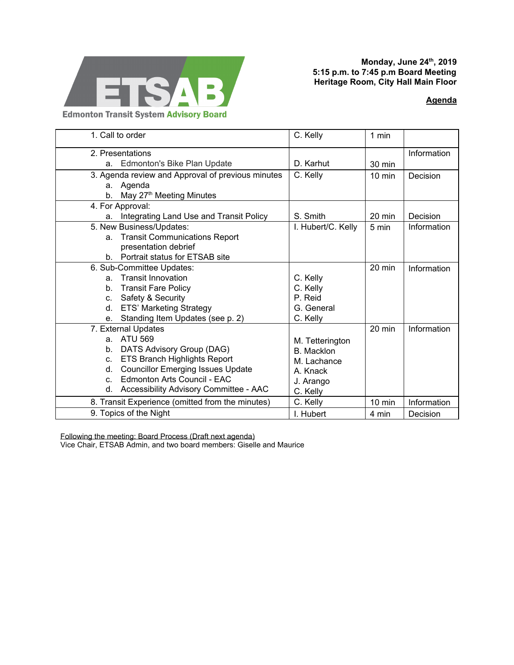

## **Monday, June 24 th , 2019 5:15 p.m. to 7:45 p.m Board Meeting Heritage Room, City Hall Main Floor**

## **[Agenda](https://drive.google.com/open?id=13FD2K8N7gG1gSsGTcUDwToMttZwoo-Lm)**

| 1. Call to order                                  | C. Kelly           | 1 min            |             |
|---------------------------------------------------|--------------------|------------------|-------------|
| 2. Presentations                                  |                    |                  | Information |
| Edmonton's Bike Plan Update<br>a.                 | D. Karhut          | 30 min           |             |
| 3. Agenda review and Approval of previous minutes | C. Kelly           | $10 \text{ min}$ | Decision    |
| a. Agenda                                         |                    |                  |             |
| May 27 <sup>th</sup> Meeting Minutes<br>b.        |                    |                  |             |
| 4. For Approval:                                  |                    |                  |             |
| Integrating Land Use and Transit Policy<br>a.     | S. Smith           | $20 \text{ min}$ | Decision    |
| 5. New Business/Updates:                          | I. Hubert/C. Kelly | 5 min            | Information |
| <b>Transit Communications Report</b><br>a.        |                    |                  |             |
| presentation debrief                              |                    |                  |             |
| Portrait status for ETSAB site<br>b.              |                    |                  |             |
| 6. Sub-Committee Updates:                         |                    | 20 min           | Information |
| <b>Transit Innovation</b><br>a.                   | C. Kelly           |                  |             |
| <b>Transit Fare Policy</b><br>b.                  | C. Kelly           |                  |             |
| Safety & Security<br>C.                           | P. Reid            |                  |             |
| <b>ETS' Marketing Strategy</b><br>d.              | G. General         |                  |             |
| Standing Item Updates (see p. 2)<br>е.            | C. Kelly           |                  |             |
| 7. External Updates                               |                    | 20 min           | Information |
| <b>ATU 569</b><br>a.                              | M. Tetterington    |                  |             |
| DATS Advisory Group (DAG)<br>b.                   | <b>B.</b> Macklon  |                  |             |
| <b>ETS Branch Highlights Report</b><br>C.         | M. Lachance        |                  |             |
| <b>Councillor Emerging Issues Update</b><br>d.    | A. Knack           |                  |             |
| Edmonton Arts Council - EAC<br>$C_{-}$            | J. Arango          |                  |             |
| Accessibility Advisory Committee - AAC<br>d.      | C. Kelly           |                  |             |
| 8. Transit Experience (omitted from the minutes)  | C. Kelly           | 10 min           | Information |
| 9. Topics of the Night                            | I. Hubert          | 4 min            | Decision    |

Following the meeting: Board Process (Draft next agenda)

Vice Chair, ETSAB Admin, and two board members: Giselle and Maurice